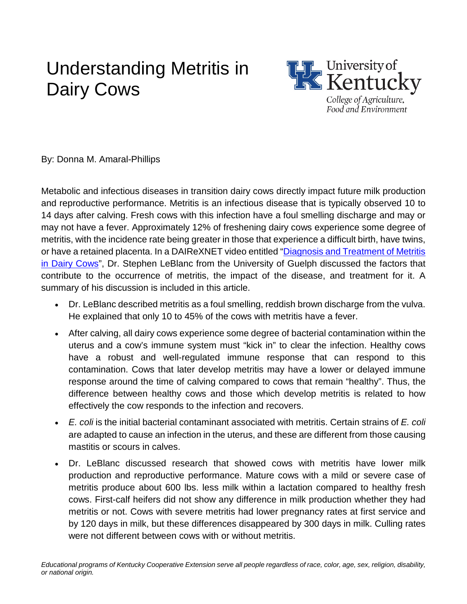## Understanding Metritis in Dairy Cows



By: Donna M. Amaral-Phillips

Metabolic and infectious diseases in transition dairy cows directly impact future milk production and reproductive performance. Metritis is an infectious disease that is typically observed 10 to 14 days after calving. Fresh cows with this infection have a foul smelling discharge and may or may not have a fever. Approximately 12% of freshening dairy cows experience some degree of metritis, with the incidence rate being greater in those that experience a difficult birth, have twins, or have a retained placenta. In a DAIReXNET video entitled "Diagnosis and Treatment of Metritis [in Dairy Cows"](https://www.youtube.com/watch?v=IH4vPuOTFyM), Dr. Stephen LeBlanc from the University of Guelph discussed the factors that contribute to the occurrence of metritis, the impact of the disease, and treatment for it. A summary of his discussion is included in this article.

- Dr. LeBlanc described metritis as a foul smelling, reddish brown discharge from the vulva. He explained that only 10 to 45% of the cows with metritis have a fever.
- After calving, all dairy cows experience some degree of bacterial contamination within the uterus and a cow's immune system must "kick in" to clear the infection. Healthy cows have a robust and well-regulated immune response that can respond to this contamination. Cows that later develop metritis may have a lower or delayed immune response around the time of calving compared to cows that remain "healthy". Thus, the difference between healthy cows and those which develop metritis is related to how effectively the cow responds to the infection and recovers.
- *E. coli* is the initial bacterial contaminant associated with metritis. Certain strains of *E. coli* are adapted to cause an infection in the uterus, and these are different from those causing mastitis or scours in calves.
- Dr. LeBlanc discussed research that showed cows with metritis have lower milk production and reproductive performance. Mature cows with a mild or severe case of metritis produce about 600 lbs. less milk within a lactation compared to healthy fresh cows. First-calf heifers did not show any difference in milk production whether they had metritis or not. Cows with severe metritis had lower pregnancy rates at first service and by 120 days in milk, but these differences disappeared by 300 days in milk. Culling rates were not different between cows with or without metritis.